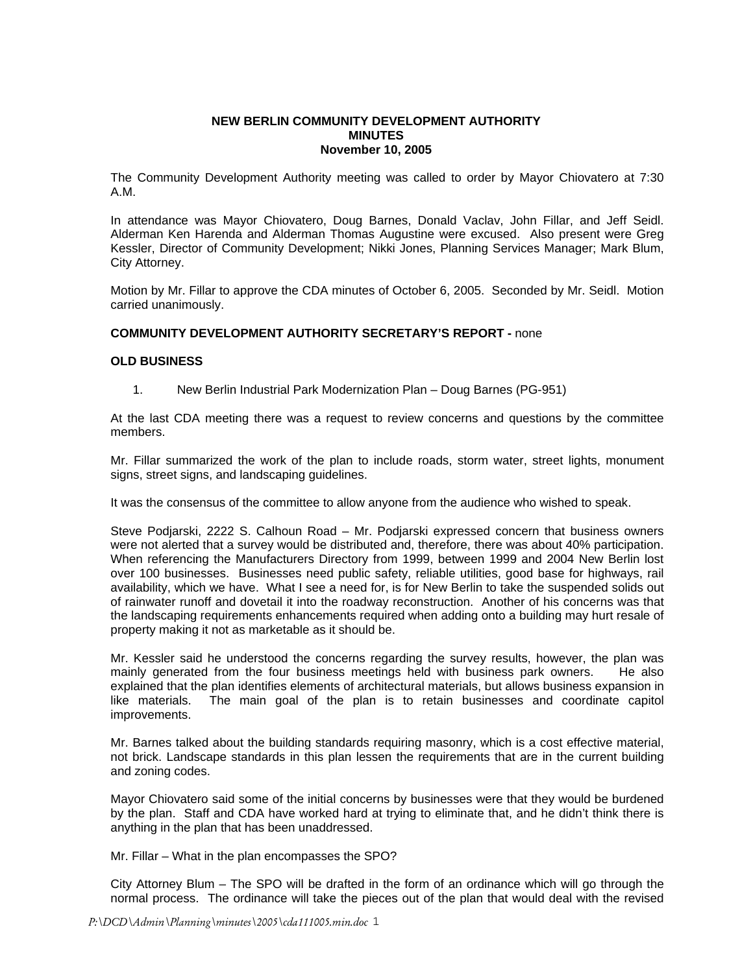### **NEW BERLIN COMMUNITY DEVELOPMENT AUTHORITY MINUTES November 10, 2005**

The Community Development Authority meeting was called to order by Mayor Chiovatero at 7:30 A.M.

In attendance was Mayor Chiovatero, Doug Barnes, Donald Vaclav, John Fillar, and Jeff Seidl. Alderman Ken Harenda and Alderman Thomas Augustine were excused. Also present were Greg Kessler, Director of Community Development; Nikki Jones, Planning Services Manager; Mark Blum, City Attorney.

Motion by Mr. Fillar to approve the CDA minutes of October 6, 2005. Seconded by Mr. Seidl. Motion carried unanimously.

## **COMMUNITY DEVELOPMENT AUTHORITY SECRETARY'S REPORT -** none

#### **OLD BUSINESS**

1. New Berlin Industrial Park Modernization Plan – Doug Barnes (PG-951)

At the last CDA meeting there was a request to review concerns and questions by the committee members.

Mr. Fillar summarized the work of the plan to include roads, storm water, street lights, monument signs, street signs, and landscaping guidelines.

It was the consensus of the committee to allow anyone from the audience who wished to speak.

Steve Podjarski, 2222 S. Calhoun Road – Mr. Podjarski expressed concern that business owners were not alerted that a survey would be distributed and, therefore, there was about 40% participation. When referencing the Manufacturers Directory from 1999, between 1999 and 2004 New Berlin lost over 100 businesses. Businesses need public safety, reliable utilities, good base for highways, rail availability, which we have. What I see a need for, is for New Berlin to take the suspended solids out of rainwater runoff and dovetail it into the roadway reconstruction. Another of his concerns was that the landscaping requirements enhancements required when adding onto a building may hurt resale of property making it not as marketable as it should be.

Mr. Kessler said he understood the concerns regarding the survey results, however, the plan was mainly generated from the four business meetings held with business park owners. He also explained that the plan identifies elements of architectural materials, but allows business expansion in like materials. The main goal of the plan is to retain businesses and coordinate capitol improvements.

Mr. Barnes talked about the building standards requiring masonry, which is a cost effective material, not brick. Landscape standards in this plan lessen the requirements that are in the current building and zoning codes.

Mayor Chiovatero said some of the initial concerns by businesses were that they would be burdened by the plan. Staff and CDA have worked hard at trying to eliminate that, and he didn't think there is anything in the plan that has been unaddressed.

Mr. Fillar – What in the plan encompasses the SPO?

City Attorney Blum – The SPO will be drafted in the form of an ordinance which will go through the normal process. The ordinance will take the pieces out of the plan that would deal with the revised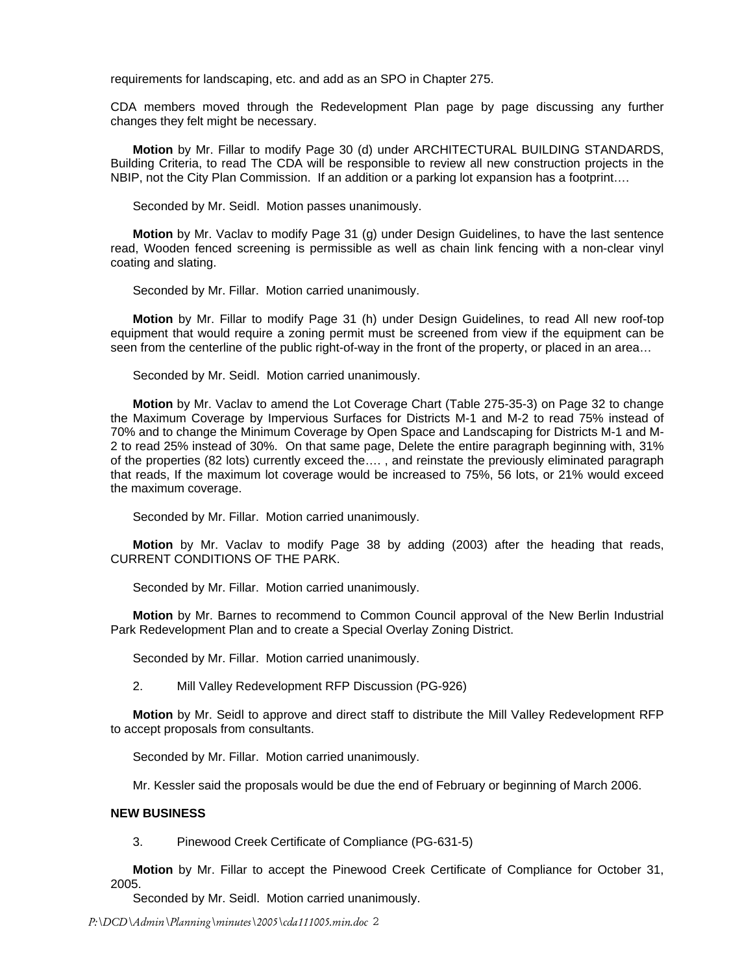requirements for landscaping, etc. and add as an SPO in Chapter 275.

CDA members moved through the Redevelopment Plan page by page discussing any further changes they felt might be necessary.

**Motion** by Mr. Fillar to modify Page 30 (d) under ARCHITECTURAL BUILDING STANDARDS, Building Criteria, to read The CDA will be responsible to review all new construction projects in the NBIP, not the City Plan Commission. If an addition or a parking lot expansion has a footprint….

Seconded by Mr. Seidl. Motion passes unanimously.

**Motion** by Mr. Vaclav to modify Page 31 (g) under Design Guidelines, to have the last sentence read, Wooden fenced screening is permissible as well as chain link fencing with a non-clear vinyl coating and slating.

Seconded by Mr. Fillar. Motion carried unanimously.

**Motion** by Mr. Fillar to modify Page 31 (h) under Design Guidelines, to read All new roof-top equipment that would require a zoning permit must be screened from view if the equipment can be seen from the centerline of the public right-of-way in the front of the property, or placed in an area…

Seconded by Mr. Seidl. Motion carried unanimously.

**Motion** by Mr. Vaclav to amend the Lot Coverage Chart (Table 275-35-3) on Page 32 to change the Maximum Coverage by Impervious Surfaces for Districts M-1 and M-2 to read 75% instead of 70% and to change the Minimum Coverage by Open Space and Landscaping for Districts M-1 and M-2 to read 25% instead of 30%. On that same page, Delete the entire paragraph beginning with, 31% of the properties (82 lots) currently exceed the…. , and reinstate the previously eliminated paragraph that reads, If the maximum lot coverage would be increased to 75%, 56 lots, or 21% would exceed the maximum coverage.

Seconded by Mr. Fillar. Motion carried unanimously.

**Motion** by Mr. Vaclav to modify Page 38 by adding (2003) after the heading that reads, CURRENT CONDITIONS OF THE PARK.

Seconded by Mr. Fillar. Motion carried unanimously.

**Motion** by Mr. Barnes to recommend to Common Council approval of the New Berlin Industrial Park Redevelopment Plan and to create a Special Overlay Zoning District.

Seconded by Mr. Fillar. Motion carried unanimously.

2. Mill Valley Redevelopment RFP Discussion (PG-926)

**Motion** by Mr. Seidl to approve and direct staff to distribute the Mill Valley Redevelopment RFP to accept proposals from consultants.

Seconded by Mr. Fillar. Motion carried unanimously.

Mr. Kessler said the proposals would be due the end of February or beginning of March 2006.

#### **NEW BUSINESS**

3. Pinewood Creek Certificate of Compliance (PG-631-5)

 **Motion** by Mr. Fillar to accept the Pinewood Creek Certificate of Compliance for October 31, 2005.

Seconded by Mr. Seidl. Motion carried unanimously.